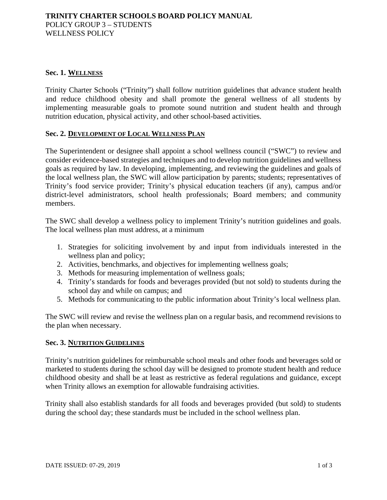### **Sec. 1. WELLNESS**

Trinity Charter Schools ("Trinity") shall follow nutrition guidelines that advance student health and reduce childhood obesity and shall promote the general wellness of all students by implementing measurable goals to promote sound nutrition and student health and through nutrition education, physical activity, and other school-based activities.

#### **Sec. 2. DEVELOPMENT OF LOCAL WELLNESS PLAN**

The Superintendent or designee shall appoint a school wellness council ("SWC") to review and consider evidence-based strategies and techniques and to develop nutrition guidelines and wellness goals as required by law. In developing, implementing, and reviewing the guidelines and goals of the local wellness plan, the SWC will allow participation by parents; students; representatives of Trinity's food service provider; Trinity's physical education teachers (if any), campus and/or district-level administrators, school health professionals; Board members; and community members.

The SWC shall develop a wellness policy to implement Trinity's nutrition guidelines and goals. The local wellness plan must address, at a minimum

- 1. Strategies for soliciting involvement by and input from individuals interested in the wellness plan and policy;
- 2. Activities, benchmarks, and objectives for implementing wellness goals;
- 3. Methods for measuring implementation of wellness goals;
- 4. Trinity's standards for foods and beverages provided (but not sold) to students during the school day and while on campus; and
- 5. Methods for communicating to the public information about Trinity's local wellness plan.

The SWC will review and revise the wellness plan on a regular basis, and recommend revisions to the plan when necessary.

# **Sec. 3. NUTRITION GUIDELINES**

Trinity's nutrition guidelines for reimbursable school meals and other foods and beverages sold or marketed to students during the school day will be designed to promote student health and reduce childhood obesity and shall be at least as restrictive as federal regulations and guidance, except when Trinity allows an exemption for allowable fundraising activities.

Trinity shall also establish standards for all foods and beverages provided (but sold) to students during the school day; these standards must be included in the school wellness plan.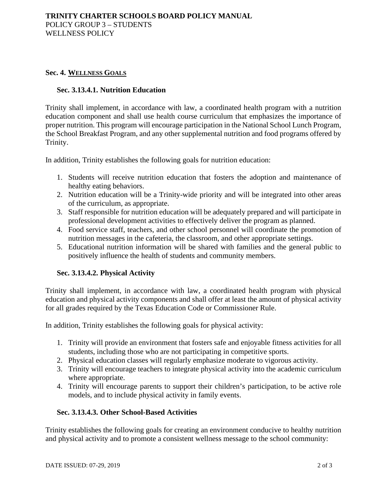## **Sec. 4. WELLNESS GOALS**

#### **Sec. 3.13.4.1. Nutrition Education**

Trinity shall implement, in accordance with law, a coordinated health program with a nutrition education component and shall use health course curriculum that emphasizes the importance of proper nutrition. This program will encourage participation in the National School Lunch Program, the School Breakfast Program, and any other supplemental nutrition and food programs offered by Trinity.

In addition, Trinity establishes the following goals for nutrition education:

- 1. Students will receive nutrition education that fosters the adoption and maintenance of healthy eating behaviors.
- 2. Nutrition education will be a Trinity-wide priority and will be integrated into other areas of the curriculum, as appropriate.
- 3. Staff responsible for nutrition education will be adequately prepared and will participate in professional development activities to effectively deliver the program as planned.
- 4. Food service staff, teachers, and other school personnel will coordinate the promotion of nutrition messages in the cafeteria, the classroom, and other appropriate settings.
- 5. Educational nutrition information will be shared with families and the general public to positively influence the health of students and community members.

# **Sec. 3.13.4.2. Physical Activity**

Trinity shall implement, in accordance with law, a coordinated health program with physical education and physical activity components and shall offer at least the amount of physical activity for all grades required by the Texas Education Code or Commissioner Rule.

In addition, Trinity establishes the following goals for physical activity:

- 1. Trinity will provide an environment that fosters safe and enjoyable fitness activities for all students, including those who are not participating in competitive sports.
- 2. Physical education classes will regularly emphasize moderate to vigorous activity.
- 3. Trinity will encourage teachers to integrate physical activity into the academic curriculum where appropriate.
- 4. Trinity will encourage parents to support their children's participation, to be active role models, and to include physical activity in family events.

#### **Sec. 3.13.4.3. Other School-Based Activities**

Trinity establishes the following goals for creating an environment conducive to healthy nutrition and physical activity and to promote a consistent wellness message to the school community: